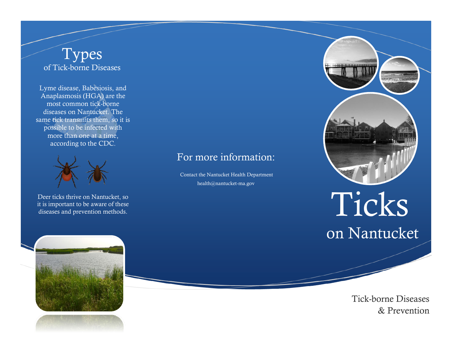#### Types of Tick-borne Diseases

Lyme disease, Babesiosis, and Anaplasmosis (HGA) are the most common tick-borne diseases on Nantucket. The same tick transmits them, so it is possible to be infected with more than one at a time, according to the CDC.



Deer ticks thrive on Nantucket, so it is important to be aware of these diseases and prevention methods.

#### For more information:

Contact the Nantucket Health Department health@nantucket-ma.gov



# on Nantucket Ticks



Tick-borne Diseases & Prevention